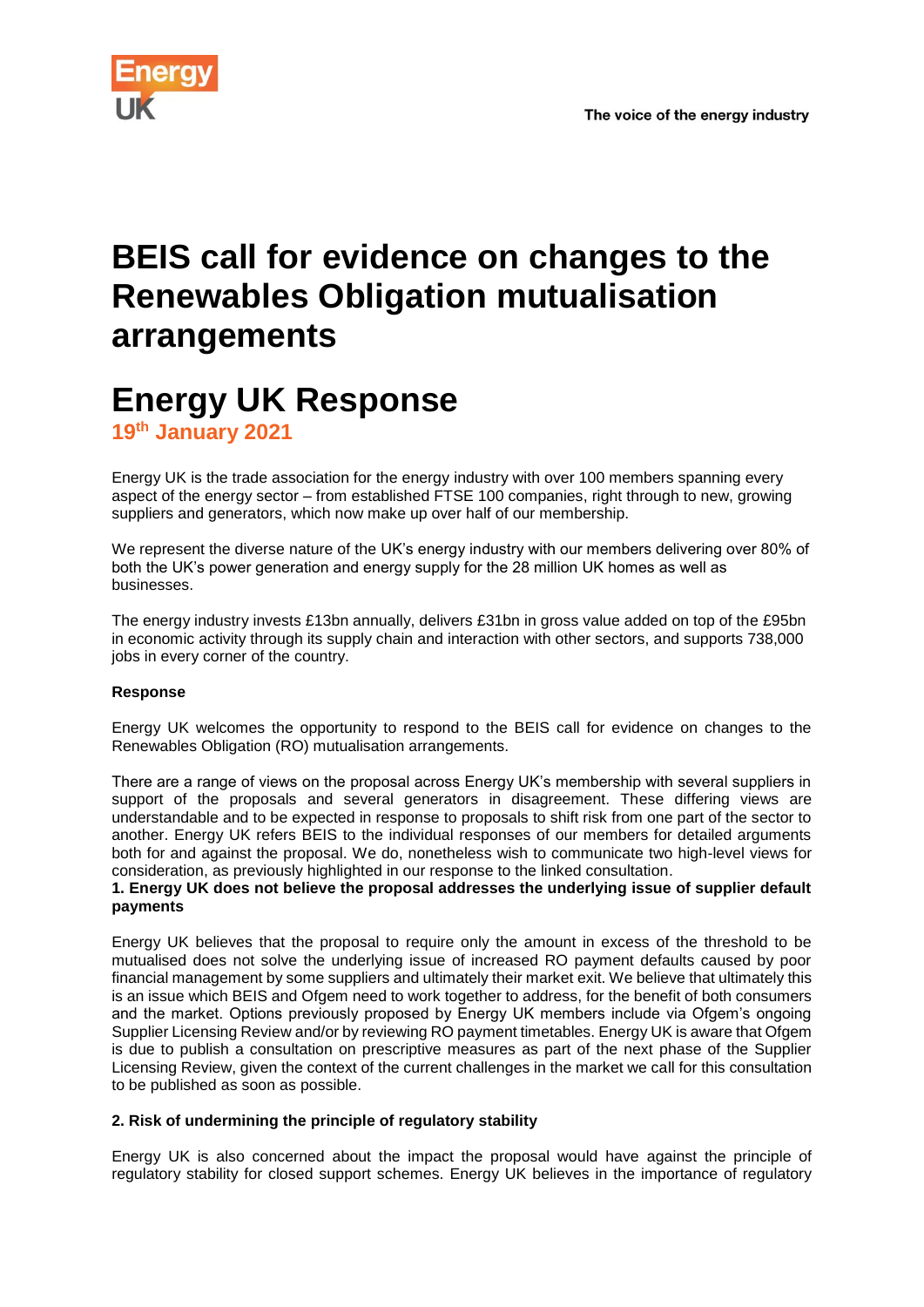

## **BEIS call for evidence on changes to the Renewables Obligation mutualisation arrangements**

# **Energy UK Response**

**19th January 2021**

Energy UK is the trade association for the energy industry with over 100 members spanning every aspect of the energy sector – from established FTSE 100 companies, right through to new, growing suppliers and generators, which now make up over half of our membership.

We represent the diverse nature of the UK's energy industry with our members delivering over 80% of both the UK's power generation and energy supply for the 28 million UK homes as well as businesses.

The energy industry invests £13bn annually, delivers £31bn in gross value added on top of the £95bn in economic activity through its supply chain and interaction with other sectors, and supports 738,000 jobs in every corner of the country.

### **Response**

Energy UK welcomes the opportunity to respond to the BEIS call for evidence on changes to the Renewables Obligation (RO) mutualisation arrangements.

There are a range of views on the proposal across Energy UK's membership with several suppliers in support of the proposals and several generators in disagreement. These differing views are understandable and to be expected in response to proposals to shift risk from one part of the sector to another. Energy UK refers BEIS to the individual responses of our members for detailed arguments both for and against the proposal. We do, nonetheless wish to communicate two high-level views for consideration, as previously highlighted in our response to the linked consultation.

#### **1. Energy UK does not believe the proposal addresses the underlying issue of supplier default payments**

Energy UK believes that the proposal to require only the amount in excess of the threshold to be mutualised does not solve the underlying issue of increased RO payment defaults caused by poor financial management by some suppliers and ultimately their market exit. We believe that ultimately this is an issue which BEIS and Ofgem need to work together to address, for the benefit of both consumers and the market. Options previously proposed by Energy UK members include via Ofgem's ongoing Supplier Licensing Review and/or by reviewing RO payment timetables. Energy UK is aware that Ofgem is due to publish a consultation on prescriptive measures as part of the next phase of the Supplier Licensing Review, given the context of the current challenges in the market we call for this consultation to be published as soon as possible.

#### **2. Risk of undermining the principle of regulatory stability**

Energy UK is also concerned about the impact the proposal would have against the principle of regulatory stability for closed support schemes. Energy UK believes in the importance of regulatory